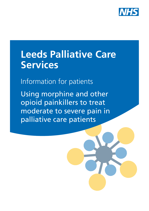

# **Leeds Palliative Care Services**

Information for patients

Using morphine and other opioid painkillers to treat moderate to severe pain in palliative care patients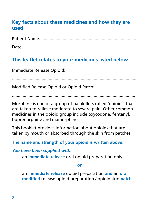## **Key facts about these medicines and how they are used**

| Date: |  |
|-------|--|

## **This leaflet relates to your medicines listed below**

Immediate Release Opioid:

.........................................................................................................

Modified Release Opioid or Opioid Patch:

........................................................................................................

Morphine is one of a group of painkillers called 'opioids' that are taken to relieve moderate to severe pain. Other common medicines in the opioid group include oxycodone, fentanyl, buprenorphine and diamorphine.

This booklet provides information about opioids that are taken by mouth or absorbed through the skin from patches.

**The name and strength of your opioid is written above.** 

*You have been supplied with:* 

an **immediate release** oral opioid preparation only

*or*

an **immediate release** opioid preparation **and** an **oral modified** release opioid preparation / opioid skin **patch**.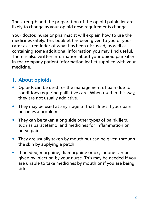The strength and the preparation of the opioid painkiller are likely to change as your opioid dose requirements change.

Your doctor, nurse or pharmacist will explain how to use the medicines safely. This booklet has been given to you or your carer as a reminder of what has been discussed, as well as containing some additional information you may find useful. There is also written information about your opioid painkiller in the company patient information leaflet supplied with your medicine.

## **1. About opioids**

- Opioids can be used for the management of pain due to conditions requiring palliative care. When used in this way, they are not usually addictive.
- They may be used at any stage of that illness if your pain becomes a problem.
- They can be taken along side other types of painkillers, such as paracetamol and medicines for inflammation or nerve pain.
- They are usually taken by mouth but can be given through the skin by applying a patch.
- If needed, morphine, diamorphine or oxycodone can be given by injection by your nurse. This may be needed if you are unable to take medicines by mouth or if you are being sick.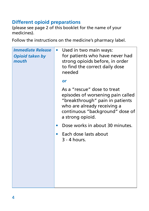## **Different opioid preparations**

(please see page 2 of this booklet for the name of your medicines).

Follow the instructions on the medicine's pharmacy label.

| <b>Immediate Release</b><br><b>Opioid taken by</b><br>mouth | Used in two main ways:<br>for patients who have never had<br>strong opioids before, in order<br>to find the correct daily dose<br>needed                                                  |
|-------------------------------------------------------------|-------------------------------------------------------------------------------------------------------------------------------------------------------------------------------------------|
|                                                             | <b>or</b>                                                                                                                                                                                 |
|                                                             | As a "rescue" dose to treat<br>episodes of worsening pain called<br>"breakthrough" pain in patients<br>who are already receiving a<br>continuous "background" dose of<br>a strong opioid. |
|                                                             | Dose works in about 30 minutes.                                                                                                                                                           |
|                                                             | Each dose lasts about<br>3 - 4 hours.                                                                                                                                                     |
|                                                             |                                                                                                                                                                                           |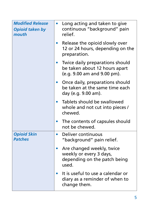| <b>Modified Release</b><br><b>Opioid taken by</b><br>mouth | Long acting and taken to give<br>continuous "background" pain<br>relief.                        |
|------------------------------------------------------------|-------------------------------------------------------------------------------------------------|
|                                                            | Release the opioid slowly over<br>12 or 24 hours, depending on the<br>preparation.              |
|                                                            | Twice daily preparations should<br>be taken about 12 hours apart<br>(e.g. 9.00 am and 9.00 pm). |
|                                                            | Once daily, preparations should<br>be taken at the same time each<br>day (e.g. 9.00 am).        |
|                                                            | Tablets should be swallowed<br>whole and not cut into pieces /<br>chewed.                       |
|                                                            | The contents of capsules should<br>not be chewed.                                               |
| <b>Opioid Skin</b><br><b>Patches</b>                       | Deliver continuous<br>$\bullet$<br>"background" pain relief.                                    |
|                                                            | Are changed weekly, twice<br>weekly or every 3 days,<br>depending on the patch being<br>used.   |
|                                                            | It is useful to use a calendar or<br>diary as a reminder of when to<br>change them.             |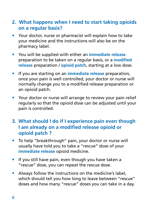#### **2. What happens when I need to start taking opioids on a regular basis?**

- Your doctor, nurse or pharmacist will explain how to take your medicine and the instructions will also be on the pharmacy label.
- You will be supplied with either an **immediate release**  preparation to be taken on a regular basis, or a **modified release** preparation / **opioid patch**, starting at a low dose.
- If you are starting on an **immediate release** preparation, once your pain is well controlled, your doctor or nurse will normally change you to a modified release preparation or an opioid patch.
- Your doctor or nurse will arrange to review your pain relief regularly so that the opioid dose can be adjusted until your pain is controlled.

#### **3. What should I do if I experience pain even though I am already on a modified release opioid or opioid patch ?**

- To help "breakthrough" pain, your doctor or nurse will usually have told you to take a "rescue" dose of your **immediate release** opioid medicine.
- If you still have pain, even though you have taken a "rescue" dose, you can repeat the rescue dose.
- Always follow the instructions on the medicine's label, which should tell you how long to leave between "rescue" doses and how many "rescue" doses you can take in a day.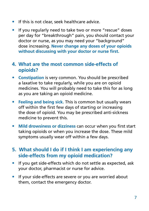- If this is not clear, seek healthcare advice.
- If you regularly need to take two or more "rescue" doses per day for "breakthrough" pain, you should contact your doctor or nurse, as you may need your "background" dose increasing. **Never change any doses of your opioids without discussing with your doctor or nurse first.**

#### **4. What are the most common side-effects of opioids?**

- **Constipation** is very common. You should be prescribed a laxative to take regularly, while you are on opioid medicines. You will probably need to take this for as long as you are taking an opioid medicine.
- **Feeling and being sick.** This is common but usually wears off within the first few days of starting or increasing the dose of opioid. You may be prescribed anti-sickness medicine to prevent this.
- **Mild drowsiness or dizziness** can occur when you first start taking opioids or when you increase the dose. These mild symptoms usually wear off within a few days.

## **5. What should I do if I think I am experiencing any side-effects from my opioid medication?**

- If you get side-effects which do not settle as expected, ask your doctor, pharmacist or nurse for advice.
- If your side-effects are severe or you are worried about them, contact the emergency doctor.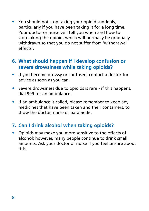• You should not stop taking your opioid suddenly, particularly if you have been taking it for a long time. Your doctor or nurse will tell you when and how to stop taking the opioid, which will normally be gradually withdrawn so that you do not suffer from 'withdrawal effects'.

#### **6. What should happen if I develop confusion or severe drowsiness while taking opioids?**

- If you become drowsy or confused, contact a doctor for advice as soon as you can.
- Severe drowsiness due to opioids is rare if this happens, dial 999 for an ambulance.
- If an ambulance is called, please remember to keep any medicines that have been taken and their containers, to show the doctor, nurse or paramedic.

## **7. Can I drink alcohol when taking opioids?**

• Opioids may make you more sensitive to the effects of alcohol; however, many people continue to drink small amounts. Ask your doctor or nurse if you feel unsure about this.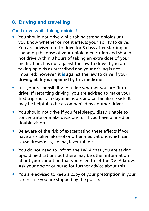## **8. Driving and travelling**

#### **Can I drive while taking opioids?**

- You should not drive while taking strong opioids until you know whether or not it affects your ability to drive. You are advised not to drive for 5 days after starting or changing the dose of your opioid medication and should not drive within 3 hours of taking an extra dose of your medication. It is not against the law to drive if you are taking opioids as prescribed and your driving is not impaired; however, it **is** against the law to drive if your driving ability is impaired by this medicine.
- It is your responsibility to judge whether you are fit to drive. If restarting driving, you are advised to make your first trip short, in daytime hours and on familiar roads. It may be helpful to be accompanied by another driver.
- You should not drive if you feel sleepy, dizzy, unable to concentrate or make decisions, or if you have blurred or double vision.
- Be aware of the risk of exacerbating these effects if you have also taken alcohol or other medications which can cause drowsiness, i.e. hayfever tablets.
- You do not need to inform the DVLA that you are taking opioid medications but there may be other information about your condition that you need to let the DVLA know. Ask your doctor or nurse for further advice about this.
- You are advised to keep a copy of your prescription in your car in case you are stopped by the police.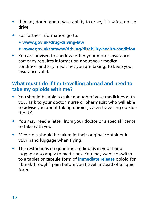- If in any doubt about your ability to drive, it is safest not to drive.
- For further information go to:
	- **• www.gov.uk/drug-driving-law**
	- **• www.gov.uk/browse/driving/disability-health-condition**
- You are advised to check whether your motor insurance company requires information about your medical condition and any medicines you are taking; to keep your insurance valid.

### **What must I do if I'm travelling abroad and need to take my opioids with me?**

- You should be able to take enough of your medicines with you. Talk to your doctor, nurse or pharmacist who will able to advise you about taking opioids, when travelling outside the UK.
- You may need a letter from your doctor or a special licence to take with you.
- Medicines should be taken in their original container in your hand luggage when flying.
- The restrictions on quantities of liquids in your hand luggage also apply to medicines. You may want to switch to a tablet or capsule form of **immediate release** opioid for "breakthrough" pain before you travel, instead of a liquid form.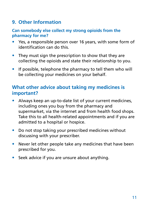## **9. Other Information**

#### **Can somebody else collect my strong opioids from the pharmacy for me?**

- Yes, a responsible person over 16 years, with some form of identification can do this.
- They must sign the prescription to show that they are collecting the opioids and state their relationship to you.
- If possible, telephone the pharmacy to tell them who will be collecting your medicines on your behalf.

## **What other advice about taking my medicines is important?**

- Always keep an up-to-date list of your current medicines, including ones you buy from the pharmacy and supermarket, via the internet and from health food shops. Take this to all health-related appointments and if you are admitted to a hospital or hospice.
- Do not stop taking your prescribed medicines without discussing with your prescriber.
- Never let other people take any medicines that have been prescribed for you.
- Seek advice if you are unsure about anything.